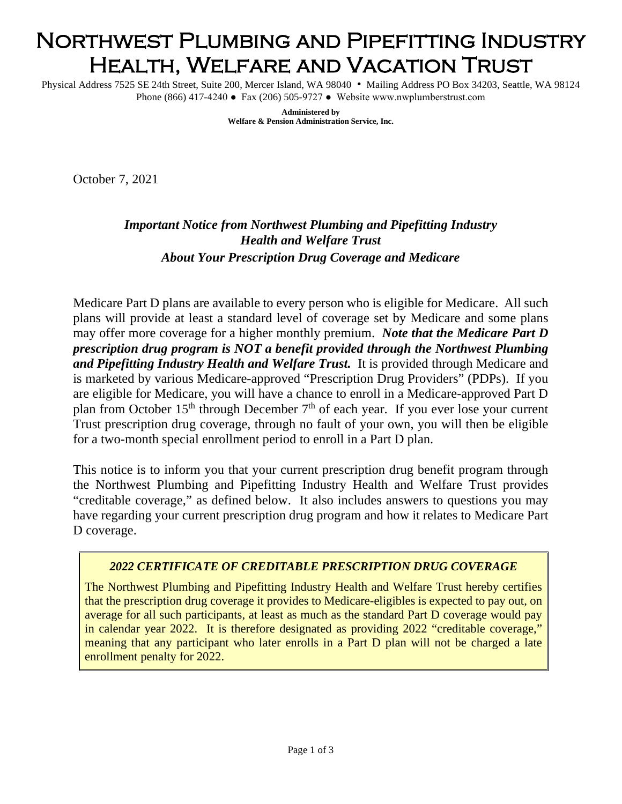# Northwest Plumbing and Pipefitting Industry Health, Welfare and Vacation Trust

Physical Address 7525 SE 24th Street, Suite 200, Mercer Island, WA 98040 • Mailing Address PO Box 34203, Seattle, WA 98124 Phone (866) 417-4240 ● Fax (206) 505-9727 ● Website www.nwplumberstrust.com

> **Administered by Welfare & Pension Administration Service, Inc.**

October 7, 2021

## *Important Notice from Northwest Plumbing and Pipefitting Industry Health and Welfare Trust About Your Prescription Drug Coverage and Medicare*

Medicare Part D plans are available to every person who is eligible for Medicare. All such plans will provide at least a standard level of coverage set by Medicare and some plans may offer more coverage for a higher monthly premium. *Note that the Medicare Part D prescription drug program is NOT a benefit provided through the Northwest Plumbing and Pipefitting Industry Health and Welfare Trust.* It is provided through Medicare and is marketed by various Medicare-approved "Prescription Drug Providers" (PDPs). If you are eligible for Medicare, you will have a chance to enroll in a Medicare-approved Part D plan from October 15<sup>th</sup> through December  $7<sup>th</sup>$  of each year. If you ever lose your current Trust prescription drug coverage, through no fault of your own, you will then be eligible for a two-month special enrollment period to enroll in a Part D plan.

This notice is to inform you that your current prescription drug benefit program through the Northwest Plumbing and Pipefitting Industry Health and Welfare Trust provides "creditable coverage," as defined below. It also includes answers to questions you may have regarding your current prescription drug program and how it relates to Medicare Part D coverage.

#### *2022 CERTIFICATE OF CREDITABLE PRESCRIPTION DRUG COVERAGE*

The Northwest Plumbing and Pipefitting Industry Health and Welfare Trust hereby certifies that the prescription drug coverage it provides to Medicare-eligibles is expected to pay out, on average for all such participants, at least as much as the standard Part D coverage would pay in calendar year 2022. It is therefore designated as providing 2022 "creditable coverage," meaning that any participant who later enrolls in a Part D plan will not be charged a late enrollment penalty for 2022.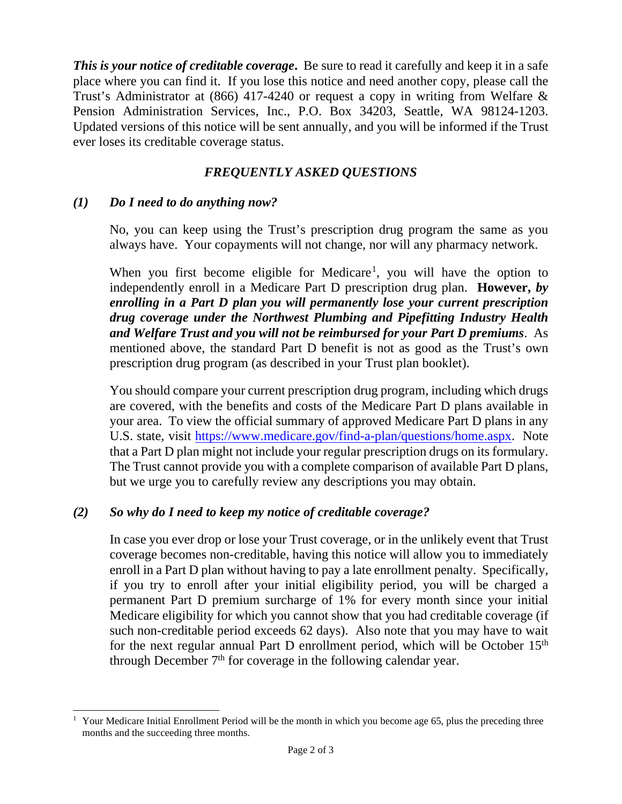*This is your notice of creditable coverage***.** Be sure to read it carefully and keep it in a safe place where you can find it. If you lose this notice and need another copy, please call the Trust's Administrator at (866) 417-4240 or request a copy in writing from Welfare & Pension Administration Services, Inc., P.O. Box 34203, Seattle, WA 98124-1203. Updated versions of this notice will be sent annually, and you will be informed if the Trust ever loses its creditable coverage status.

## *FREQUENTLY ASKED QUESTIONS*

## *(1) Do I need to do anything now?*

No, you can keep using the Trust's prescription drug program the same as you always have. Your copayments will not change, nor will any pharmacy network.

When you first become eligible for Medicare<sup>[1](#page-1-0)</sup>, you will have the option to independently enroll in a Medicare Part D prescription drug plan. **However,** *by enrolling in a Part D plan you will permanently lose your current prescription drug coverage under the Northwest Plumbing and Pipefitting Industry Health and Welfare Trust and you will not be reimbursed for your Part D premiums*. As mentioned above, the standard Part D benefit is not as good as the Trust's own prescription drug program (as described in your Trust plan booklet).

You should compare your current prescription drug program, including which drugs are covered, with the benefits and costs of the Medicare Part D plans available in your area. To view the official summary of approved Medicare Part D plans in any U.S. state, visit [https://www.medicare.gov/find-a-plan/questions/home.aspx.](https://www.medicare.gov/find-a-plan/questions/home.aspx) Note that a Part D plan might not include your regular prescription drugs on its formulary. The Trust cannot provide you with a complete comparison of available Part D plans, but we urge you to carefully review any descriptions you may obtain.

### *(2) So why do I need to keep my notice of creditable coverage?*

In case you ever drop or lose your Trust coverage, or in the unlikely event that Trust coverage becomes non-creditable, having this notice will allow you to immediately enroll in a Part D plan without having to pay a late enrollment penalty. Specifically, if you try to enroll after your initial eligibility period, you will be charged a permanent Part D premium surcharge of 1% for every month since your initial Medicare eligibility for which you cannot show that you had creditable coverage (if such non-creditable period exceeds 62 days). Also note that you may have to wait for the next regular annual Part D enrollment period, which will be October  $15<sup>th</sup>$ through December  $7<sup>th</sup>$  for coverage in the following calendar year.

<span id="page-1-0"></span><sup>&</sup>lt;sup>1</sup> Your Medicare Initial Enrollment Period will be the month in which you become age 65, plus the preceding three months and the succeeding three months.